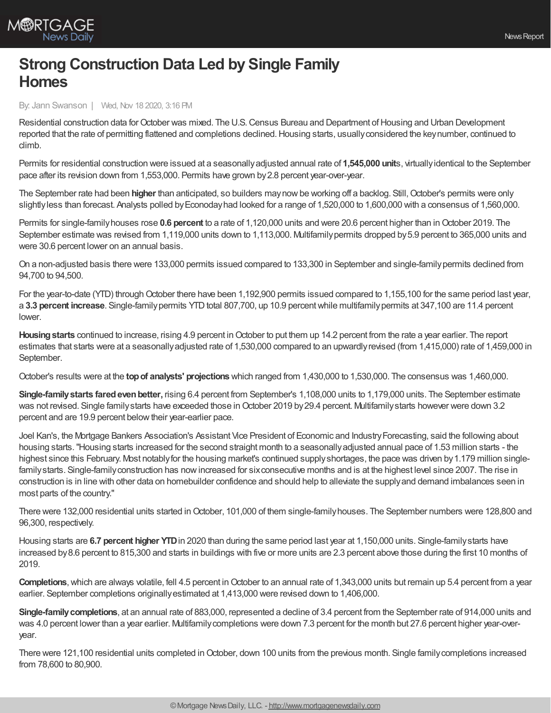

## **Strong Construction Data Led by Single Family Homes**

By: Jann Swanson | Wed, Nov 18 2020, 3:16 PM

Residential construction data for October was mixed. The U.S. Census Bureau and Department of Housing and Urban Development reported that the rate of permitting flattened and completions declined.Housing starts, usuallyconsidered the keynumber, continued to climb.

Permits for residential construction were issued at a seasonallyadjusted annual rate of **1,545,000 unit**s, virtuallyidentical to the September pace after its revision down from 1,553,000. Permits have grown by2.8 percent year-over-year.

The September rate had been higher than anticipated, so builders may now be working off a backlog. Still, October's permits were only slightlyless than forecast. Analysts polled by Econoday had looked for a range of 1,520,000 to 1,600,000 with a consensus of 1,560,000.

Permits for single-familyhouses rose **0.6 percent** to a rate of 1,120,000 units and were 20.6 percent higher than inOctober 2019. The September estimate was revised from 1,119,000 units down to 1,113,000. Multifamily permits dropped by 5.9 percent to 365,000 units and were 30.6 percent lower on an annual basis.

On a non-adjusted basis there were 133,000 permits issued compared to 133,300 in September and single-familypermits declined from 94,700 to 94,500.

For the year-to-date (YTD) through October there have been 1,192,900 permits issued compared to 1,155,100 for the same period last year, a 3.3 percent increase. Single-family permits YTD total 807,700, up 10.9 percent while multifamily permits at 347,100 are 11.4 percent lower.

**Housingstarts** continued to increase, rising 4.9 percent inOctober to put them up 14.2 percent from the rate a year earlier. The report estimates that starts were at a seasonallyadjusted rate of 1,530,000 compared to an upwardlyrevised (from 1,415,000) rate of 1,459,000 in September.

October's results were at the **topof analysts' projections** which ranged from 1,430,000 to 1,530,000. The consensus was 1,460,000.

**Single-familystarts faredevenbetter,** rising 6.4 percent from September's 1,108,000 units to 1,179,000 units. The September estimate was not revised. Single family starts have exceeded those in October 2019 by 29.4 percent. Multifamily starts however were down 3.2 percent and are 19.9 percent belowtheir year-earlier pace.

Joel Kan's, the Mortgage Bankers Association's Assistant Vice President of Economic and Industry Forecasting, said the following about housing starts."Housing starts increased for the second straight month to a seasonallyadjusted annual pace of 1.53 million starts - the highest since this February. Most notably for the housing market's continued supply shortages, the pace was driven by 1.179 million singlefamily starts. Single-family construction has now increased for six consecutive months and is at the highest level since 2007. The rise in construction is in line with other data on homebuilder confidence and should help to alleviate the supplyand demand imbalances seen in most parts of the country."

There were 132,000 residential units started in October, 101,000 of them single-family houses. The September numbers were 128,800 and 96,300, respectively.

Housing starts are **6.7 percent higher YTD**in 2020 than during the same period last year at 1,150,000 units. Single-familystarts have increased by8.6 percent to 815,300 and starts in buildings with five or more units are 2.3 percent above those during the first 10 months of 2019.

**Completions**, which are always volatile, fell 4.5 percent in October to an annual rate of 1,343,000 units but remain up 5.4 percent from a year earlier. September completions originallyestimated at 1,413,000 were revised down to 1,406,000.

**Single-familycompletions**, at an annual rate of 883,000, represented a decline of 3.4 percent from the September rate of 914,000 units and was 4.0 percent lower than a year earlier. Multifamily completions were down 7.3 percent for the month but 27.6 percent higher year-overyear.

There were 121,100 residential units completed in October, down 100 units from the previous month. Single family completions increased from 78,600 to 80,900.